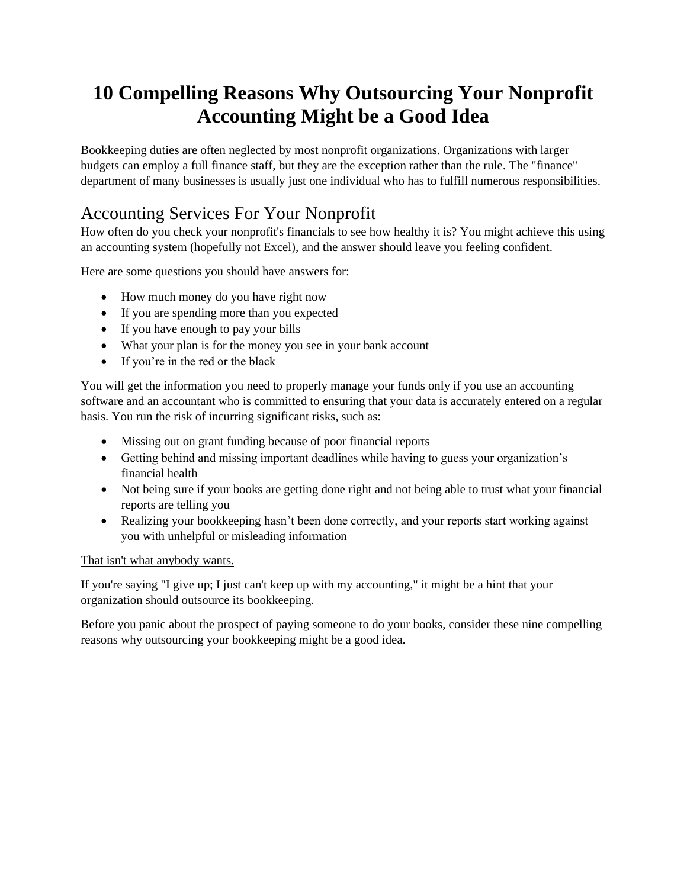# **10 Compelling Reasons Why Outsourcing Your Nonprofit Accounting Might be a Good Idea**

Bookkeeping duties are often neglected by most nonprofit organizations. Organizations with larger budgets can employ a full finance staff, but they are the exception rather than the rule. The "finance" department of many businesses is usually just one individual who has to fulfill numerous responsibilities.

# Accounting Services For Your Nonprofit

How often do you check your nonprofit's financials to see how healthy it is? You might achieve this using an accounting system (hopefully not Excel), and the answer should leave you feeling confident.

Here are some questions you should have answers for:

- How much money do you have right now
- If you are spending more than you expected
- If you have enough to pay your bills
- What your plan is for the money you see in your bank account
- If you're in the red or the black

You will get the information you need to properly manage your funds only if you use an accounting software and an accountant who is committed to ensuring that your data is accurately entered on a regular basis. You run the risk of incurring significant risks, such as:

- Missing out on grant funding because of poor financial reports
- Getting behind and missing important deadlines while having to guess your organization's financial health
- Not being sure if your books are getting done right and not being able to trust what your financial reports are telling you
- Realizing your bookkeeping hasn't been done correctly, and your reports start working against you with unhelpful or misleading information

#### That isn't what anybody wants.

If you're saying "I give up; I just can't keep up with my accounting," it might be a hint that your organization should outsource its bookkeeping.

Before you panic about the prospect of paying someone to do your books, consider these nine compelling reasons why outsourcing your bookkeeping might be a good idea.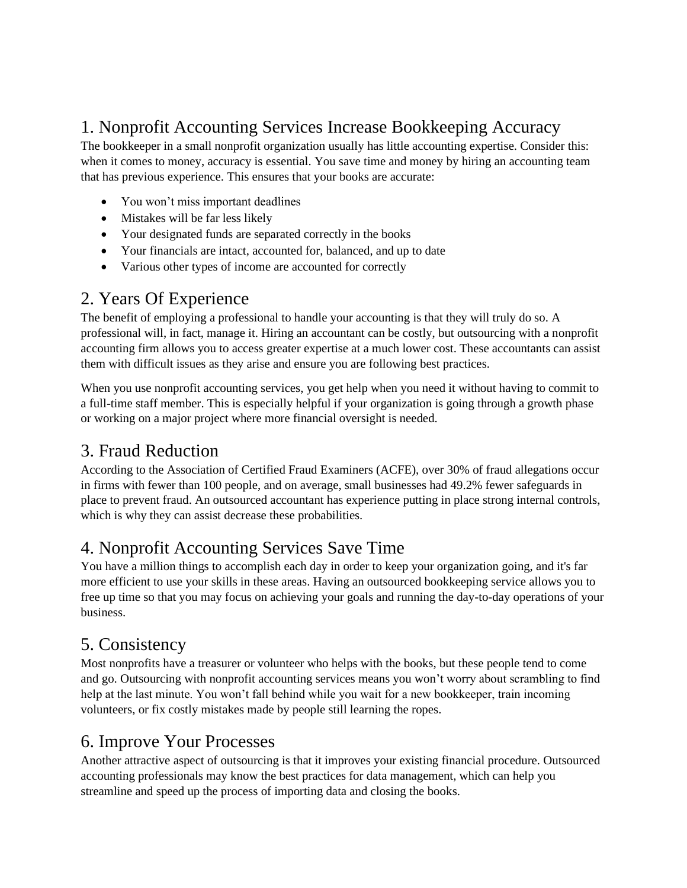### 1. Nonprofit Accounting Services Increase Bookkeeping Accuracy

The bookkeeper in a small nonprofit organization usually has little accounting expertise. Consider this: when it comes to money, accuracy is essential. You save time and money by hiring an accounting team that has previous experience. This ensures that your books are accurate:

- You won't miss important deadlines
- Mistakes will be far less likely
- Your designated funds are separated correctly in the books
- Your financials are intact, accounted for, balanced, and up to date
- Various other types of income are accounted for correctly

#### 2. Years Of Experience

The benefit of employing a professional to handle your accounting is that they will truly do so. A professional will, in fact, manage it. Hiring an accountant can be costly, but outsourcing with a nonprofit accounting firm allows you to access greater expertise at a much lower cost. These accountants can assist them with difficult issues as they arise and ensure you are following best practices.

When you use nonprofit accounting services, you get help when you need it without having to commit to a full-time staff member. This is especially helpful if your organization is going through a growth phase or working on a major project where more financial oversight is needed.

# 3. Fraud Reduction

According to the Association of Certified Fraud Examiners (ACFE), over 30% of fraud allegations occur in firms with fewer than 100 people, and on average, small businesses had 49.2% fewer safeguards in place to prevent fraud. An outsourced accountant has experience putting in place strong internal controls, which is why they can assist decrease these probabilities.

# 4. Nonprofit Accounting Services Save Time

You have a million things to accomplish each day in order to keep your organization going, and it's far more efficient to use your skills in these areas. Having an outsourced bookkeeping service allows you to free up time so that you may focus on achieving your goals and running the day-to-day operations of your business.

#### 5. Consistency

Most nonprofits have a treasurer or volunteer who helps with the books, but these people tend to come and go. Outsourcing with nonprofit accounting services means you won't worry about scrambling to find help at the last minute. You won't fall behind while you wait for a new bookkeeper, train incoming volunteers, or fix costly mistakes made by people still learning the ropes.

#### 6. Improve Your Processes

Another attractive aspect of outsourcing is that it improves your existing financial procedure. Outsourced accounting professionals may know the best practices for data management, which can help you streamline and speed up the process of importing data and closing the books.